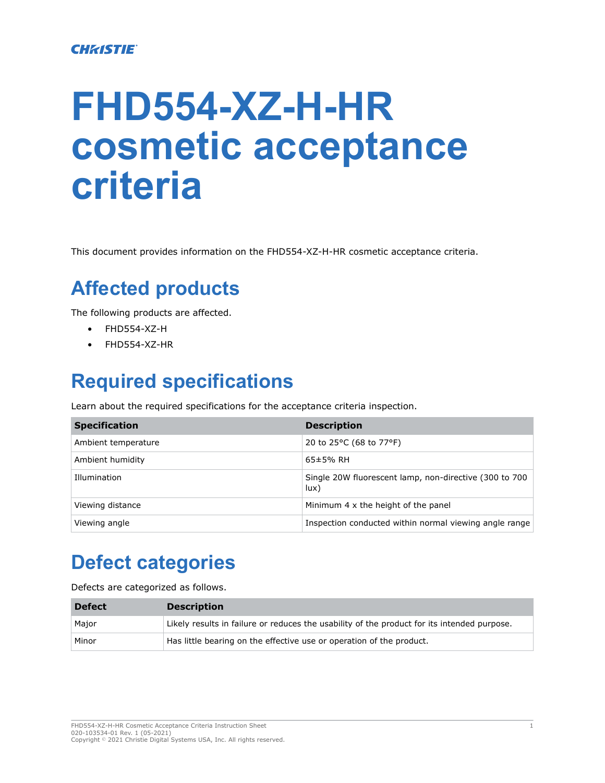# **FHD554-XZ-H-HR cosmetic acceptance criteria**

This document provides information on the FHD554-XZ-H-HR cosmetic acceptance criteria.

# **Affected products**

The following products are affected.

- FHD554-XZ-H
- FHD554-XZ-HR

### **Required specifications**

Learn about the required specifications for the acceptance criteria inspection.

| <b>Specification</b> | <b>Description</b>                                             |  |
|----------------------|----------------------------------------------------------------|--|
| Ambient temperature  | 20 to 25°C (68 to 77°F)                                        |  |
| Ambient humidity     | $65±5%$ RH                                                     |  |
| Illumination         | Single 20W fluorescent lamp, non-directive (300 to 700<br>lux) |  |
| Viewing distance     | Minimum 4 x the height of the panel                            |  |
| Viewing angle        | Inspection conducted within normal viewing angle range         |  |

#### **Defect categories**

Defects are categorized as follows.

| <b>Defect</b> | <b>Description</b>                                                                          |
|---------------|---------------------------------------------------------------------------------------------|
| Major         | Likely results in failure or reduces the usability of the product for its intended purpose. |
| Minor         | Has little bearing on the effective use or operation of the product.                        |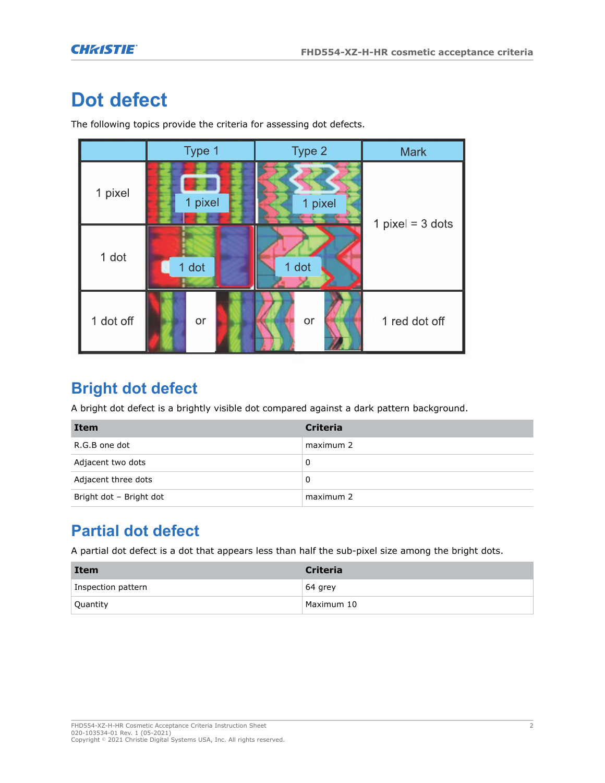#### **Dot defect**

Type 2 Type 1 **Mark** 1 pixel pixel 1 pixel 1 pixel =  $3$  dots 1 dot 1 dot 1 dot 1 dot off 1 red dot off or or

The following topics provide the criteria for assessing dot defects.

#### **Bright dot defect**

A bright dot defect is a brightly visible dot compared against a dark pattern background.

| <b>Item</b>             | <b>Criteria</b> |
|-------------------------|-----------------|
| R.G.B one dot           | maximum 2       |
| Adjacent two dots       | 0               |
| Adjacent three dots     | 0               |
| Bright dot - Bright dot | maximum 2       |

#### **Partial dot defect**

A partial dot defect is a dot that appears less than half the sub-pixel size among the bright dots.

| <b>Item</b>        | Criteria   |
|--------------------|------------|
| Inspection pattern | 64 grey    |
| Quantity           | Maximum 10 |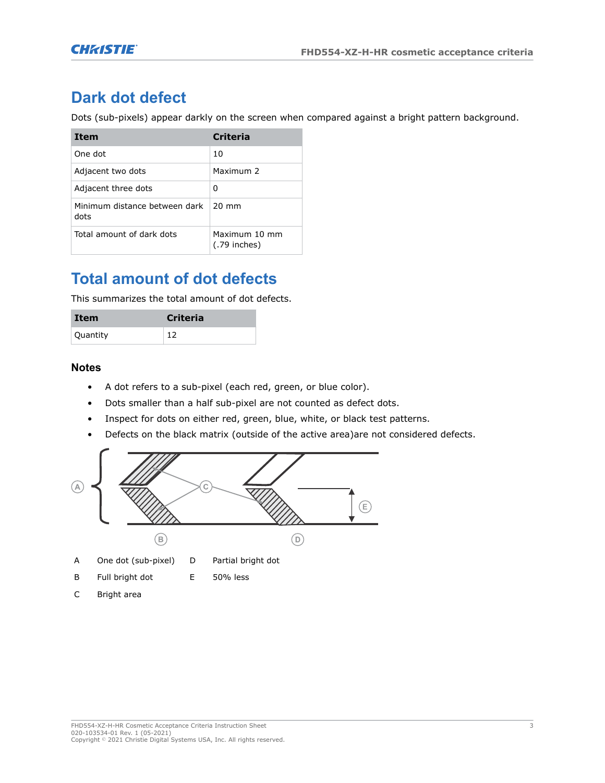#### **Dark dot defect**

Dots (sub-pixels) appear darkly on the screen when compared against a bright pattern background.

| <b>Item</b>                           | <b>Criteria</b>                 |
|---------------------------------------|---------------------------------|
| One dot                               | 10                              |
| Adjacent two dots                     | Maximum 2                       |
| Adjacent three dots                   | 0                               |
| Minimum distance between dark<br>dots | $20 \text{ mm}$                 |
| Total amount of dark dots             | Maximum 10 mm<br>$(.79$ inches) |

#### **Total amount of dot defects**

This summarizes the total amount of dot defects.

| Item     | <b>Criteria</b> |
|----------|-----------------|
| Quantity | 12              |

#### **Notes**

- A dot refers to a sub-pixel (each red, green, or blue color).
- Dots smaller than a half sub-pixel are not counted as defect dots.
- Inspect for dots on either red, green, blue, white, or black test patterns.
- Defects on the black matrix (outside of the active area)are not considered defects.



- A One dot (sub-pixel) D Partial bright dot
- B Full bright dot E 50% less
- C Bright area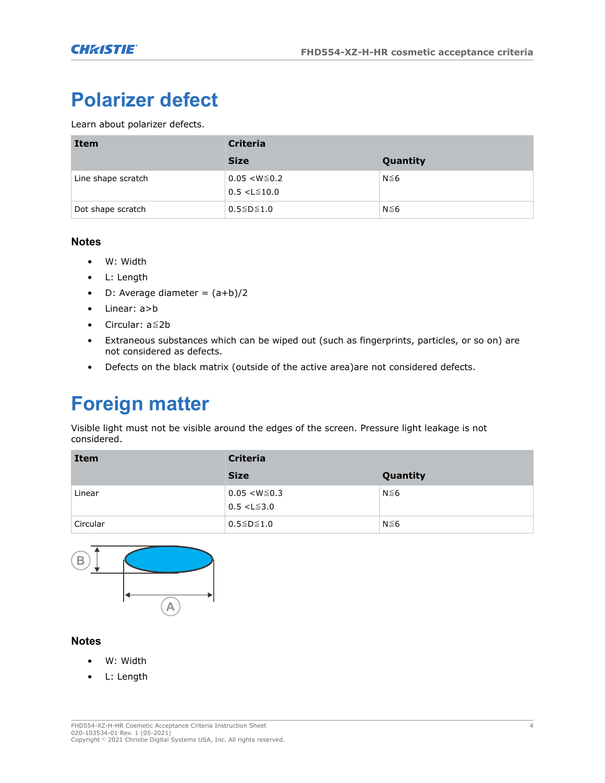# **Polarizer defect**

Learn about polarizer defects.

| <b>Item</b>        | <b>Criteria</b>                          |            |  |  |
|--------------------|------------------------------------------|------------|--|--|
|                    | <b>Size</b>                              | Quantity   |  |  |
| Line shape scratch | $0.05 < W \le 0.2$<br>$0.5 < L \le 10.0$ | $N \leq 6$ |  |  |
| Dot shape scratch  | $0.5 \leq D \leq 1.0$                    | $N \leq 6$ |  |  |

#### **Notes**

- W: Width
- L: Length
- D: Average diameter =  $(a+b)/2$
- Linear: a>b
- Circular: a≦2b
- Extraneous substances which can be wiped out (such as fingerprints, particles, or so on) are not considered as defects.
- Defects on the black matrix (outside of the active area)are not considered defects.

### **Foreign matter**

Visible light must not be visible around the edges of the screen. Pressure light leakage is not considered.

| <b>Item</b> | <b>Criteria</b>                          |            |  |  |
|-------------|------------------------------------------|------------|--|--|
|             | <b>Size</b>                              | Quantity   |  |  |
| Linear      | $0.05 < W \le 0.3$<br>$0.5 < L \leq 3.0$ | $N \leq 6$ |  |  |
| Circular    | $0.5 \leq D \leq 1.0$                    | $N \leq 6$ |  |  |



#### **Notes**

- W: Width
- L: Length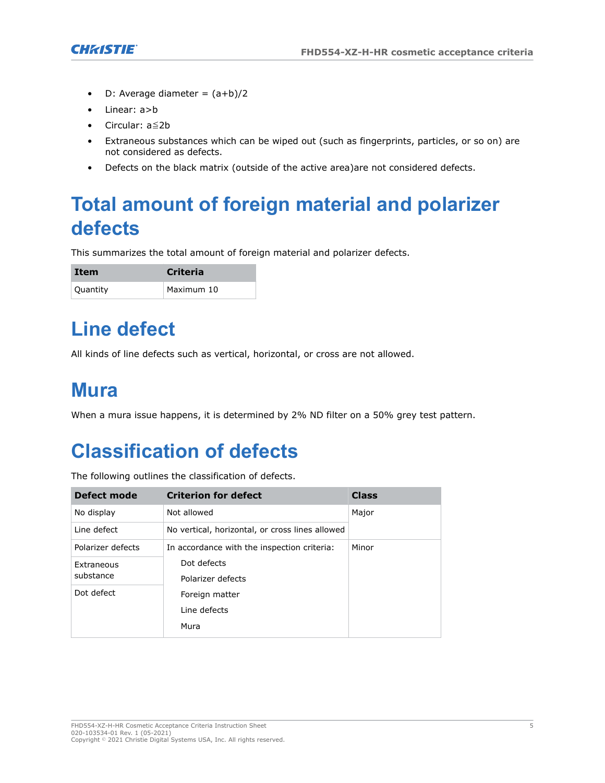

- D: Average diameter =  $(a+b)/2$
- Linear: a>b
- Circular: a≦2b
- Extraneous substances which can be wiped out (such as fingerprints, particles, or so on) are not considered as defects.
- Defects on the black matrix (outside of the active area)are not considered defects.

### **Total amount of foreign material and polarizer defects**

This summarizes the total amount of foreign material and polarizer defects.

| Item            | <b>Criteria</b> |  |
|-----------------|-----------------|--|
| <b>Quantity</b> | Maximum 10      |  |

#### **Line defect**

All kinds of line defects such as vertical, horizontal, or cross are not allowed.

#### **Mura**

When a mura issue happens, it is determined by 2% ND filter on a 50% grey test pattern.

# **Classification of defects**

The following outlines the classification of defects.

| Defect mode       | <b>Criterion for defect</b>                     | <b>Class</b> |
|-------------------|-------------------------------------------------|--------------|
| No display        | Not allowed                                     | Major        |
| Line defect       | No vertical, horizontal, or cross lines allowed |              |
| Polarizer defects | In accordance with the inspection criteria:     | Minor        |
| Extraneous        | Dot defects                                     |              |
| substance         | Polarizer defects                               |              |
| Dot defect        | Foreign matter                                  |              |
|                   | Line defects                                    |              |
|                   | Mura                                            |              |